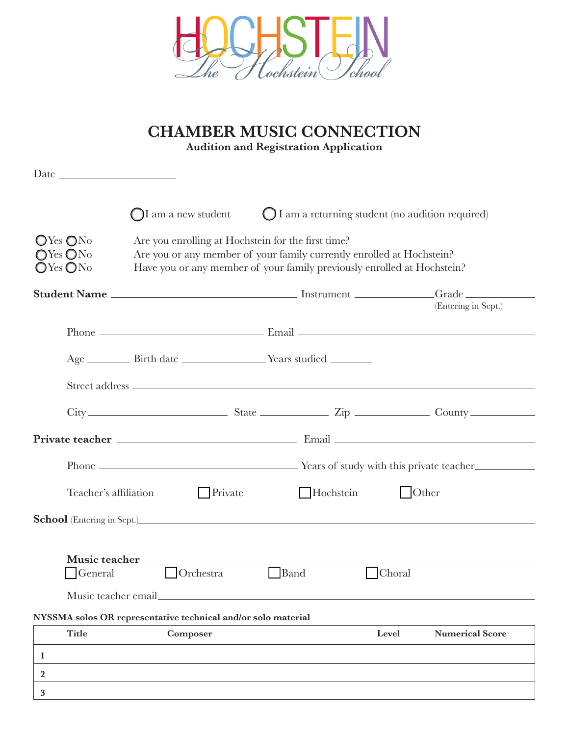

|                                                                                                      |                       |                                                                                                                                                                                                        | <b>CHAMBER MUSIC CONNECTION</b><br><b>Audition and Registration Application</b> |      |           |               |                                                                                                                                                                                                                                                                                                                                |  |  |
|------------------------------------------------------------------------------------------------------|-----------------------|--------------------------------------------------------------------------------------------------------------------------------------------------------------------------------------------------------|---------------------------------------------------------------------------------|------|-----------|---------------|--------------------------------------------------------------------------------------------------------------------------------------------------------------------------------------------------------------------------------------------------------------------------------------------------------------------------------|--|--|
|                                                                                                      |                       |                                                                                                                                                                                                        |                                                                                 |      |           |               |                                                                                                                                                                                                                                                                                                                                |  |  |
|                                                                                                      |                       | $\bigcirc$ I am a new student                                                                                                                                                                          |                                                                                 |      |           |               | ◯ I am a returning student (no audition required)                                                                                                                                                                                                                                                                              |  |  |
| $\mathbb{O}$ Yes $\mathbb{O}$ No<br>$\bigcirc$ Yes $\bigcirc$ No<br>$\mathbb{O}$ Yes $\mathbb{O}$ No |                       | Are you enrolling at Hochstein for the first time?<br>Are you or any member of your family currently enrolled at Hochstein?<br>Have you or any member of your family previously enrolled at Hochstein? |                                                                                 |      |           |               |                                                                                                                                                                                                                                                                                                                                |  |  |
|                                                                                                      |                       |                                                                                                                                                                                                        |                                                                                 |      |           |               | (Entering in Sept.)                                                                                                                                                                                                                                                                                                            |  |  |
|                                                                                                      |                       |                                                                                                                                                                                                        |                                                                                 |      |           |               |                                                                                                                                                                                                                                                                                                                                |  |  |
|                                                                                                      |                       |                                                                                                                                                                                                        |                                                                                 |      |           |               |                                                                                                                                                                                                                                                                                                                                |  |  |
|                                                                                                      |                       |                                                                                                                                                                                                        |                                                                                 |      |           |               |                                                                                                                                                                                                                                                                                                                                |  |  |
|                                                                                                      |                       |                                                                                                                                                                                                        |                                                                                 |      |           |               | $\textrm{City}$ $\hspace{1.5cm}$ $\hspace{1.5cm}$ $\hspace{1.5cm}$ $\hspace{1.5cm}$ $\hspace{1.5cm}$ $\hspace{1.5cm}$ $\hspace{1.5cm}$ $\hspace{1.5cm}$ $\hspace{1.5cm}$ $\hspace{1.5cm}$ $\hspace{1.5cm}$ $\hspace{1.5cm}$ $\hspace{1.5cm}$ $\hspace{1.5cm}$ $\hspace{1.5cm}$ $\hspace{1.5cm}$ $\hspace{1.5cm}$ $\hspace{1.5$ |  |  |
|                                                                                                      |                       |                                                                                                                                                                                                        |                                                                                 |      |           |               |                                                                                                                                                                                                                                                                                                                                |  |  |
|                                                                                                      |                       |                                                                                                                                                                                                        |                                                                                 |      |           |               |                                                                                                                                                                                                                                                                                                                                |  |  |
|                                                                                                      | Teacher's affiliation |                                                                                                                                                                                                        | Private                                                                         |      | Hochstein |               | $\bigcup$ Other                                                                                                                                                                                                                                                                                                                |  |  |
|                                                                                                      |                       |                                                                                                                                                                                                        |                                                                                 |      |           |               |                                                                                                                                                                                                                                                                                                                                |  |  |
|                                                                                                      | Music teacher         |                                                                                                                                                                                                        |                                                                                 |      |           |               |                                                                                                                                                                                                                                                                                                                                |  |  |
|                                                                                                      | General               |                                                                                                                                                                                                        | <b>Orchestra</b>                                                                | Band |           | <b>Choral</b> |                                                                                                                                                                                                                                                                                                                                |  |  |
|                                                                                                      | Music teacher email.  |                                                                                                                                                                                                        |                                                                                 |      |           |               |                                                                                                                                                                                                                                                                                                                                |  |  |
|                                                                                                      |                       |                                                                                                                                                                                                        | NYSSMA solos OR representative technical and/or solo material                   |      |           |               |                                                                                                                                                                                                                                                                                                                                |  |  |
|                                                                                                      | <b>Title</b>          |                                                                                                                                                                                                        | Composer                                                                        |      |           | Level         | <b>Numerical Score</b>                                                                                                                                                                                                                                                                                                         |  |  |
| 1                                                                                                    |                       |                                                                                                                                                                                                        |                                                                                 |      |           |               |                                                                                                                                                                                                                                                                                                                                |  |  |
| 2                                                                                                    |                       |                                                                                                                                                                                                        |                                                                                 |      |           |               |                                                                                                                                                                                                                                                                                                                                |  |  |
| 3                                                                                                    |                       |                                                                                                                                                                                                        |                                                                                 |      |           |               |                                                                                                                                                                                                                                                                                                                                |  |  |